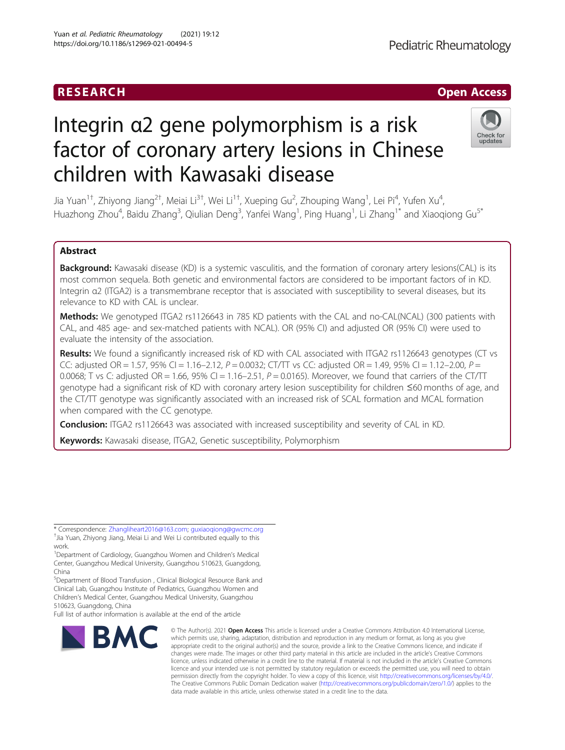# RESEARCH **RESEARCH CHOOSE ACCESS**

# Integrin α2 gene polymorphism is a risk factor of coronary artery lesions in Chinese children with Kawasaki disease



Jia Yuan<sup>1†</sup>, Zhiyong Jiang<sup>2†</sup>, Meiai Li<sup>3†</sup>, Wei Li<sup>1†</sup>, Xueping Gu<sup>2</sup>, Zhouping Wang<sup>1</sup>, Lei Pi<sup>4</sup>, Yufen Xu<sup>4</sup> , Huazhong Zhou<sup>4</sup>, Baidu Zhang<sup>3</sup>, Qiulian Deng<sup>3</sup>, Yanfei Wang<sup>1</sup>, Ping Huang<sup>1</sup>, Li Zhang<sup>1\*</sup> and Xiaoqiong Gu<sup>s\*</sup>

# Abstract

Background: Kawasaki disease (KD) is a systemic vasculitis, and the formation of coronary artery lesions(CAL) is its most common sequela. Both genetic and environmental factors are considered to be important factors of in KD. Integrin α2 (ITGA2) is a transmembrane receptor that is associated with susceptibility to several diseases, but its relevance to KD with CAL is unclear.

Methods: We genotyped ITGA2 rs1126643 in 785 KD patients with the CAL and no-CAL(NCAL) (300 patients with CAL, and 485 age- and sex-matched patients with NCAL). OR (95% CI) and adjusted OR (95% CI) were used to evaluate the intensity of the association.

Results: We found a significantly increased risk of KD with CAL associated with ITGA2 rs1126643 genotypes (CT vs CC: adjusted OR = 1.57, 95% CI = 1.16-2.12,  $P = 0.0032$ ; CT/TT vs CC: adjusted OR = 1.49, 95% CI = 1.12-2.00,  $P =$ 0.0068; T vs C: adjusted OR = 1.66, 95% CI = 1.16-2.51,  $P = 0.0165$ ). Moreover, we found that carriers of the CT/TT genotype had a significant risk of KD with coronary artery lesion susceptibility for children ≤60 months of age, and the CT/TT genotype was significantly associated with an increased risk of SCAL formation and MCAL formation when compared with the CC genotype.

**Conclusion:** ITGA2 rs1126643 was associated with increased susceptibility and severity of CAL in KD.

Keywords: Kawasaki disease, ITGA2, Genetic susceptibility, Polymorphism

<sup>1</sup>Department of Cardiology, Guangzhou Women and Children's Medical Center, Guangzhou Medical University, Guangzhou 510623, Guangdong, China

5 Department of Blood Transfusion , Clinical Biological Resource Bank and Clinical Lab, Guangzhou Institute of Pediatrics, Guangzhou Women and Children's Medical Center, Guangzhou Medical University, Guangzhou 510623, Guangdong, China

Full list of author information is available at the end of the article



<sup>©</sup> The Author(s), 2021 **Open Access** This article is licensed under a Creative Commons Attribution 4.0 International License, which permits use, sharing, adaptation, distribution and reproduction in any medium or format, as long as you give appropriate credit to the original author(s) and the source, provide a link to the Creative Commons licence, and indicate if changes were made. The images or other third party material in this article are included in the article's Creative Commons licence, unless indicated otherwise in a credit line to the material. If material is not included in the article's Creative Commons licence and your intended use is not permitted by statutory regulation or exceeds the permitted use, you will need to obtain permission directly from the copyright holder. To view a copy of this licence, visit [http://creativecommons.org/licenses/by/4.0/.](http://creativecommons.org/licenses/by/4.0/) The Creative Commons Public Domain Dedication waiver [\(http://creativecommons.org/publicdomain/zero/1.0/](http://creativecommons.org/publicdomain/zero/1.0/)) applies to the data made available in this article, unless otherwise stated in a credit line to the data.

<sup>\*</sup> Correspondence: [Zhangliheart2016@163.com;](mailto:Zhangliheart2016@163.com) [guxiaoqiong@gwcmc.org](mailto:guxiaoqiong@gwcmc.org) † <sup>+</sup>Jia Yuan, Zhiyong Jiang, Meiai Li and Wei Li contributed equally to this work.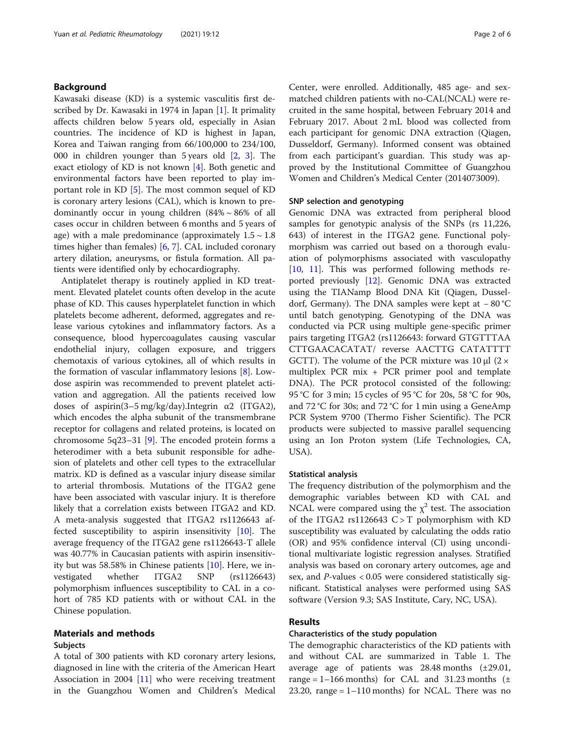# Background

Kawasaki disease (KD) is a systemic vasculitis first described by Dr. Kawasaki in 1974 in Japan [\[1](#page-4-0)]. It primality affects children below 5 years old, especially in Asian countries. The incidence of KD is highest in Japan, Korea and Taiwan ranging from 66/100,000 to 234/100, 000 in children younger than 5 years old [\[2,](#page-4-0) [3\]](#page-4-0). The exact etiology of KD is not known [[4](#page-4-0)]. Both genetic and environmental factors have been reported to play important role in KD [\[5](#page-4-0)]. The most common sequel of KD is coronary artery lesions (CAL), which is known to predominantly occur in young children  $(84\% \sim 86\%$  of all cases occur in children between 6 months and 5 years of age) with a male predominance (approximately  $1.5 \sim 1.8$ times higher than females) [\[6](#page-4-0), [7](#page-4-0)]. CAL included coronary artery dilation, aneurysms, or fistula formation. All patients were identified only by echocardiography.

Antiplatelet therapy is routinely applied in KD treatment. Elevated platelet counts often develop in the acute phase of KD. This causes hyperplatelet function in which platelets become adherent, deformed, aggregates and release various cytokines and inflammatory factors. As a consequence, blood hypercoagulates causing vascular endothelial injury, collagen exposure, and triggers chemotaxis of various cytokines, all of which results in the formation of vascular inflammatory lesions [\[8\]](#page-4-0). Lowdose aspirin was recommended to prevent platelet activation and aggregation. All the patients received low doses of aspirin(3–5 mg/kg/day).Integrin  $\alpha$ 2 (ITGA2), which encodes the alpha subunit of the transmembrane receptor for collagens and related proteins, is located on chromosome 5q23–31 [[9](#page-4-0)]. The encoded protein forms a heterodimer with a beta subunit responsible for adhesion of platelets and other cell types to the extracellular matrix. KD is defined as a vascular injury disease similar to arterial thrombosis. Mutations of the ITGA2 gene have been associated with vascular injury. It is therefore likely that a correlation exists between ITGA2 and KD. A meta-analysis suggested that ITGA2 rs1126643 affected susceptibility to aspirin insensitivity [[10\]](#page-4-0). The average frequency of the ITGA2 gene rs1126643-T allele was 40.77% in Caucasian patients with aspirin insensitivity but was 58.58% in Chinese patients [\[10](#page-4-0)]. Here, we investigated whether ITGA2 SNP (rs1126643) polymorphism influences susceptibility to CAL in a cohort of 785 KD patients with or without CAL in the Chinese population.

# Materials and methods Subjects

A total of 300 patients with KD coronary artery lesions, diagnosed in line with the criteria of the American Heart Association in 2004 [\[11](#page-4-0)] who were receiving treatment in the Guangzhou Women and Children's Medical

Center, were enrolled. Additionally, 485 age- and sexmatched children patients with no-CAL(NCAL) were recruited in the same hospital, between February 2014 and February 2017. About 2 mL blood was collected from each participant for genomic DNA extraction (Qiagen, Dusseldorf, Germany). Informed consent was obtained from each participant's guardian. This study was approved by the Institutional Committee of Guangzhou Women and Children's Medical Center (2014073009).

#### SNP selection and genotyping

Genomic DNA was extracted from peripheral blood samples for genotypic analysis of the SNPs (rs 11,226, 643) of interest in the ITGA2 gene. Functional polymorphism was carried out based on a thorough evaluation of polymorphisms associated with vasculopathy [[10,](#page-4-0) [11\]](#page-4-0). This was performed following methods reported previously [\[12\]](#page-4-0). Genomic DNA was extracted using the TIANamp Blood DNA Kit (Qiagen, Dusseldorf, Germany). The DNA samples were kept at − 80 °C until batch genotyping. Genotyping of the DNA was conducted via PCR using multiple gene-specific primer pairs targeting ITGA2 (rs1126643: forward GTGTTTAA CTTGAACACATAT/ reverse AACTTG CATATTTT GCTT). The volume of the PCR mixture was  $10 \mu$ I (2  $\times$ multiplex PCR mix + PCR primer pool and template DNA). The PCR protocol consisted of the following: 95 °C for 3 min; 15 cycles of 95 °C for 20s, 58 °C for 90s, and 72 °C for 30s; and 72 °C for 1 min using a GeneAmp PCR System 9700 (Thermo Fisher Scientific). The PCR products were subjected to massive parallel sequencing using an Ion Proton system (Life Technologies, CA, USA).

### Statistical analysis

The frequency distribution of the polymorphism and the demographic variables between KD with CAL and NCAL were compared using the  $\chi^2$  test. The association of the ITGA2  $rs1126643$  C > T polymorphism with KD susceptibility was evaluated by calculating the odds ratio (OR) and 95% confidence interval (CI) using unconditional multivariate logistic regression analyses. Stratified analysis was based on coronary artery outcomes, age and sex, and  $P$ -values < 0.05 were considered statistically significant. Statistical analyses were performed using SAS software (Version 9.3; SAS Institute, Cary, NC, USA).

# Results

# Characteristics of the study population

The demographic characteristics of the KD patients with and without CAL are summarized in Table [1.](#page-2-0) The average age of patients was 28.48 months (±29.01, range =  $1-166$  months) for CAL and 31.23 months ( $\pm$ 23.20, range  $= 1-110$  months) for NCAL. There was no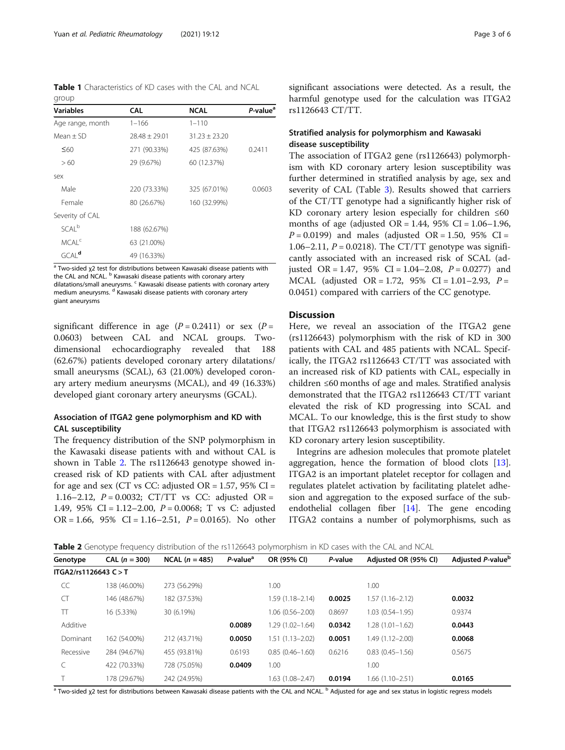<span id="page-2-0"></span>Table 1 Characteristics of KD cases with the CAL and NCAL group

| <b>Variables</b>    | <b>CAL</b>      | <b>NCAL</b>     | P-value <sup>a</sup> |
|---------------------|-----------------|-----------------|----------------------|
| Age range, month    | $1 - 166$       | $1 - 110$       |                      |
| $Mean + SD$         | $78.48 + 79.01$ | $31.23 + 23.20$ |                      |
| $\leq 60$           | 271 (90.33%)    | 425 (87.63%)    | 0.2411               |
| >60                 | 29 (9.67%)      | 60 (12.37%)     |                      |
| sex                 |                 |                 |                      |
| Male                | 220 (73.33%)    | 325 (67.01%)    | 0.0603               |
| Female              | 80 (26.67%)     | 160 (32.99%)    |                      |
| Severity of CAL     |                 |                 |                      |
| SCAI <sup>b</sup>   | 188 (62.67%)    |                 |                      |
| MCAI <sup>c</sup>   | 63 (21.00%)     |                 |                      |
| $GCAI$ <sup>d</sup> | 49 (16.33%)     |                 |                      |

<sup>a</sup> Two-sided χ2 test for distributions between Kawasaki disease patients with the CAL and NCAL. <sup>b</sup> Kawasaki disease patients with coronary artery dilatations/small aneurysms. <sup>c</sup> Kawasaki disease patients with coronary artery medium aneurysms. <sup>d</sup> Kawasaki disease patients with coronary artery giant aneurysms

significant difference in age  $(P = 0.2411)$  or sex  $(P =$ 0.0603) between CAL and NCAL groups. Twodimensional echocardiography revealed that 188 (62.67%) patients developed coronary artery dilatations/ small aneurysms (SCAL), 63 (21.00%) developed coronary artery medium aneurysms (MCAL), and 49 (16.33%) developed giant coronary artery aneurysms (GCAL).

# Association of ITGA2 gene polymorphism and KD with CAL susceptibility

The frequency distribution of the SNP polymorphism in the Kawasaki disease patients with and without CAL is shown in Table 2. The rs1126643 genotype showed increased risk of KD patients with CAL after adjustment for age and sex (CT vs CC: adjusted OR =  $1.57$ ,  $95\%$  CI = 1.16–2.12,  $P = 0.0032$ ; CT/TT vs CC: adjusted OR = 1.49, 95% CI =  $1.12-2.00$ ,  $P = 0.0068$ ; T vs C: adjusted  $OR = 1.66$ , 95% CI = 1.16–2.51,  $P = 0.0165$ ). No other

significant associations were detected. As a result, the harmful genotype used for the calculation was ITGA2 rs1126643 CT/TT.

# Stratified analysis for polymorphism and Kawasaki disease susceptibility

The association of ITGA2 gene (rs1126643) polymorphism with KD coronary artery lesion susceptibility was further determined in stratified analysis by age, sex and severity of CAL (Table [3](#page-3-0)). Results showed that carriers of the CT/TT genotype had a significantly higher risk of KD coronary artery lesion especially for children  $\leq 60$ months of age (adjusted  $OR = 1.44$ , 95%  $CI = 1.06 - 1.96$ ,  $P = 0.0199$ ) and males (adjusted OR = 1.50, 95% CI = 1.06–2.11,  $P = 0.0218$ ). The CT/TT genotype was significantly associated with an increased risk of SCAL (adjusted OR = 1.47, 95% CI = 1.04–2.08,  $P = 0.0277$ ) and MCAL (adjusted OR = 1.72, 95% CI = 1.01–2.93,  $P =$ 0.0451) compared with carriers of the CC genotype.

# **Discussion**

Here, we reveal an association of the ITGA2 gene (rs1126643) polymorphism with the risk of KD in 300 patients with CAL and 485 patients with NCAL. Specifically, the ITGA2 rs1126643 CT/TT was associated with an increased risk of KD patients with CAL, especially in children ≤60 months of age and males. Stratified analysis demonstrated that the ITGA2 rs1126643 CT/TT variant elevated the risk of KD progressing into SCAL and MCAL. To our knowledge, this is the first study to show that ITGA2 rs1126643 polymorphism is associated with KD coronary artery lesion susceptibility.

Integrins are adhesion molecules that promote platelet aggregation, hence the formation of blood clots [\[13](#page-4-0)]. ITGA2 is an important platelet receptor for collagen and regulates platelet activation by facilitating platelet adhesion and aggregation to the exposed surface of the subendothelial collagen fiber [\[14\]](#page-4-0). The gene encoding ITGA2 contains a number of polymorphisms, such as

Table 2 Genotype frequency distribution of the rs1126643 polymorphism in KD cases with the CAL and NCAL

| Genotype              | $CAL (n = 300)$ | $NCAL (n = 485)$ | P-value <sup>a</sup> | OR (95% CI)         | P-value | Adjusted OR (95% CI) | Adjusted P-value <sup>b</sup> |
|-----------------------|-----------------|------------------|----------------------|---------------------|---------|----------------------|-------------------------------|
| ITGA2/rs1126643 C > T |                 |                  |                      |                     |         |                      |                               |
| CC                    | 138 (46.00%)    | 273 (56.29%)     |                      | 1.00                |         | 1.00                 |                               |
| CT                    | 146 (48.67%)    | 182 (37.53%)     |                      | $1.59(1.18 - 2.14)$ | 0.0025  | $1.57(1.16 - 2.12)$  | 0.0032                        |
| π                     | 16 (5.33%)      | 30 (6.19%)       |                      | 1.06 (0.56-2.00)    | 0.8697  | $1.03(0.54 - 1.95)$  | 0.9374                        |
| Additive              |                 |                  | 0.0089               | $1.29(1.02 - 1.64)$ | 0.0342  | $1.28(1.01 - 1.62)$  | 0.0443                        |
| Dominant              | 162 (54.00%)    | 212 (43.71%)     | 0.0050               | $1.51(1.13 - 2.02)$ | 0.0051  | 1.49 (1.12-2.00)     | 0.0068                        |
| Recessive             | 284 (94.67%)    | 455 (93.81%)     | 0.6193               | $0.85(0.46 - 1.60)$ | 0.6216  | $0.83(0.45 - 1.56)$  | 0.5675                        |
|                       | 422 (70.33%)    | 728 (75.05%)     | 0.0409               | 1.00                |         | 1.00                 |                               |
|                       | 178 (29.67%)    | 242 (24.95%)     |                      | $.63(1.08 - 2.47)$  | 0.0194  | 1.66 (1.10-2.51)     | 0.0165                        |

<sup>a</sup> Two-sided χ2 test for distributions between Kawasaki disease patients with the CAL and NCAL. <sup>b</sup> Adjusted for age and sex status in logistic regress models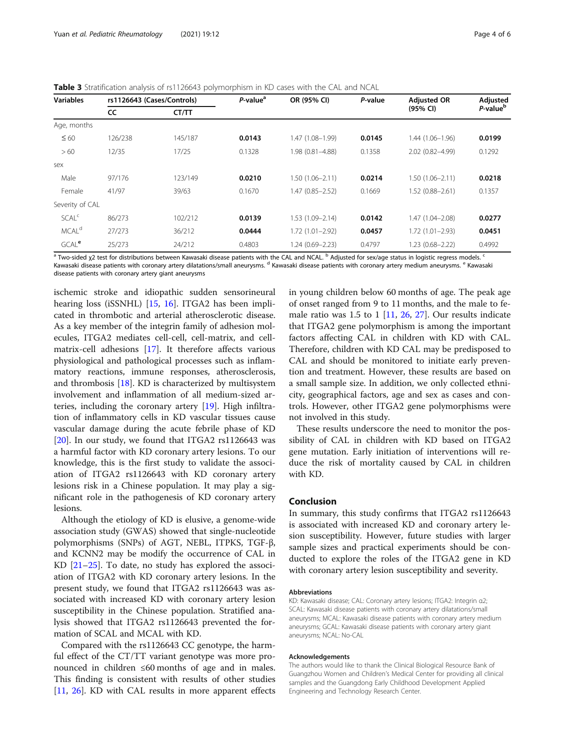<span id="page-3-0"></span>**Table 3** Stratification analysis of rs1126643 polymorphism in KD cases with the CAL and NCAL

| <b>Variables</b>        | rs1126643 (Cases/Controls) |         | $P$ -value <sup>a</sup> | OR (95% CI)         | P-value | <b>Adjusted OR</b>  | Adjusted             |
|-------------------------|----------------------------|---------|-------------------------|---------------------|---------|---------------------|----------------------|
|                         | cc                         | CT/TT   |                         |                     |         | (95% CI)            | P-value <sup>b</sup> |
| Age, months             |                            |         |                         |                     |         |                     |                      |
| $\leq 60$               | 126/238                    | 145/187 | 0.0143                  | 1.47 (1.08-1.99)    | 0.0145  | $1.44(1.06 - 1.96)$ | 0.0199               |
| >60                     | 12/35                      | 17/25   | 0.1328                  | 1.98 (0.81-4.88)    | 0.1358  | 2.02 (0.82-4.99)    | 0.1292               |
| sex                     |                            |         |                         |                     |         |                     |                      |
| Male                    | 97/176                     | 123/149 | 0.0210                  | $1.50(1.06 - 2.11)$ | 0.0214  | $1.50(1.06 - 2.11)$ | 0.0218               |
| Female                  | 41/97                      | 39/63   | 0.1670                  | 1.47 (0.85-2.52)    | 0.1669  | $1.52(0.88 - 2.61)$ | 0.1357               |
| Severity of CAL         |                            |         |                         |                     |         |                     |                      |
| <b>SCAL<sup>c</sup></b> | 86/273                     | 102/212 | 0.0139                  | $1.53(1.09 - 2.14)$ | 0.0142  | 1.47 (1.04-2.08)    | 0.0277               |
| MCAL <sup>d</sup>       | 27/273                     | 36/212  | 0.0444                  | $1.72(1.01 - 2.92)$ | 0.0457  | $1.72(1.01 - 2.93)$ | 0.0451               |
| GCAL <sup>e</sup>       | 25/273                     | 24/212  | 0.4803                  | 1.24 (0.69-2.23)    | 0.4797  | $1.23(0.68 - 2.22)$ | 0.4992               |

a Two-sided χ2 test for distributions between Kawasaki disease patients with the CAL and NCAL. <sup>b</sup> Adjusted for sex/age status in logistic regress models. <sup>c</sup> Kawasaki disease patients with coronary artery dilatations/small aneurysms. <sup>d</sup> Kawasaki disease patients with coronary artery medium aneurysms. <sup>e</sup> Kawasaki disease patients with coronary artery giant aneurysms

ischemic stroke and idiopathic sudden sensorineural hearing loss (iSSNHL) [\[15,](#page-4-0) [16\]](#page-4-0). ITGA2 has been implicated in thrombotic and arterial atherosclerotic disease. As a key member of the integrin family of adhesion molecules, ITGA2 mediates cell-cell, cell-matrix, and cellmatrix-cell adhesions [[17\]](#page-4-0). It therefore affects various physiological and pathological processes such as inflammatory reactions, immune responses, atherosclerosis, and thrombosis [[18\]](#page-4-0). KD is characterized by multisystem involvement and inflammation of all medium-sized arteries, including the coronary artery [\[19\]](#page-4-0). High infiltration of inflammatory cells in KD vascular tissues cause vascular damage during the acute febrile phase of KD [[20\]](#page-4-0). In our study, we found that ITGA2 rs1126643 was a harmful factor with KD coronary artery lesions. To our knowledge, this is the first study to validate the association of ITGA2 rs1126643 with KD coronary artery lesions risk in a Chinese population. It may play a significant role in the pathogenesis of KD coronary artery lesions.

Although the etiology of KD is elusive, a genome-wide association study (GWAS) showed that single-nucleotide polymorphisms (SNPs) of AGT, NEBL, ITPKS, TGF-β, and KCNN2 may be modify the occurrence of CAL in KD [\[21](#page-4-0)–[25\]](#page-5-0). To date, no study has explored the association of ITGA2 with KD coronary artery lesions. In the present study, we found that ITGA2 rs1126643 was associated with increased KD with coronary artery lesion susceptibility in the Chinese population. Stratified analysis showed that ITGA2 rs1126643 prevented the formation of SCAL and MCAL with KD.

Compared with the rs1126643 CC genotype, the harmful effect of the CT/TT variant genotype was more pronounced in children ≤60 months of age and in males. This finding is consistent with results of other studies [[11,](#page-4-0) [26\]](#page-5-0). KD with CAL results in more apparent effects

in young children below 60 months of age. The peak age of onset ranged from 9 to 11 months, and the male to female ratio was  $1.5$  to  $1$  [[11,](#page-4-0) [26](#page-5-0), [27\]](#page-5-0). Our results indicate that ITGA2 gene polymorphism is among the important factors affecting CAL in children with KD with CAL. Therefore, children with KD CAL may be predisposed to CAL and should be monitored to initiate early prevention and treatment. However, these results are based on a small sample size. In addition, we only collected ethnicity, geographical factors, age and sex as cases and controls. However, other ITGA2 gene polymorphisms were not involved in this study.

These results underscore the need to monitor the possibility of CAL in children with KD based on ITGA2 gene mutation. Early initiation of interventions will reduce the risk of mortality caused by CAL in children with KD.

### Conclusion

In summary, this study confirms that ITGA2 rs1126643 is associated with increased KD and coronary artery lesion susceptibility. However, future studies with larger sample sizes and practical experiments should be conducted to explore the roles of the ITGA2 gene in KD with coronary artery lesion susceptibility and severity.

#### Abbreviations

KD: Kawasaki disease; CAL: Coronary artery lesions; ITGA2: Integrin α2; SCAL: Kawasaki disease patients with coronary artery dilatations/small aneurysms; MCAL: Kawasaki disease patients with coronary artery medium aneurysms; GCAL: Kawasaki disease patients with coronary artery giant aneurysms; NCAL: No-CAL

#### Acknowledgements

The authors would like to thank the Clinical Biological Resource Bank of Guangzhou Women and Children's Medical Center for providing all clinical samples and the Guangdong Early Childhood Development Applied Engineering and Technology Research Center.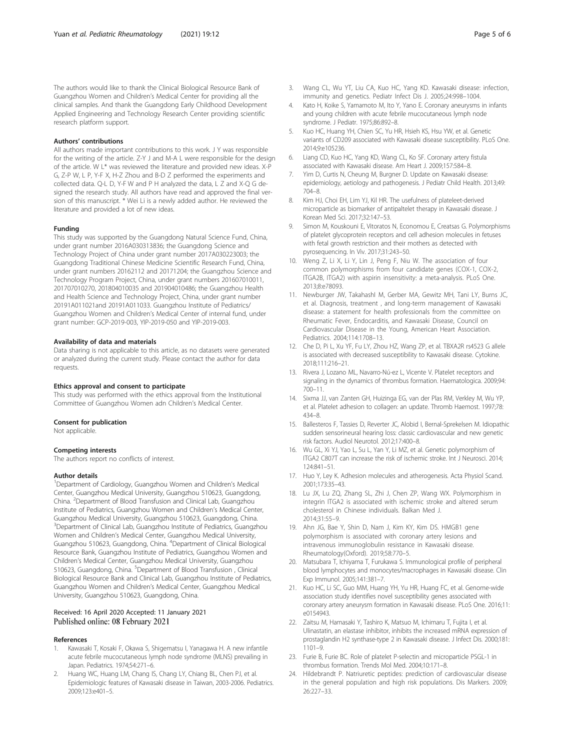#### <span id="page-4-0"></span>Authors' contributions

All authors made important contributions to this work. J Y was responsible for the writing of the article. Z-Y J and M-A L were responsible for the design of the article. W L\* was reviewed the literature and provided new ideas. X-P G, Z-P W, L P, Y-F X, H-Z Zhou and B-D Z performed the experiments and collected data. Q-L D, Y-F W and P H analyzed the data, L Z and X-Q G designed the research study. All authors have read and approved the final version of this manuscript. \* Wei Li is a newly added author. He reviewed the literature and provided a lot of new ideas.

#### Funding

This study was supported by the Guangdong Natural Science Fund, China, under grant number 2016A030313836; the Guangdong Science and Technology Project of China under grant number 2017A030223003; the Guangdong Traditional Chinese Medicine Scientific Research Fund, China, under grant numbers 20162112 and 20171204; the Guangzhou Science and Technology Program Project, China, under grant numbers 201607010011, 201707010270, 201804010035 and 201904010486; the Guangzhou Health and Health Science and Technology Project, China, under grant number 20191A011021and 20191A011033. Guangzhou Institute of Pediatrics/ Guangzhou Women and Children's Medical Center of internal fund, under grant number: GCP-2019-003, YIP-2019-050 and YIP-2019-003.

#### Availability of data and materials

Data sharing is not applicable to this article, as no datasets were generated or analyzed during the current study. Please contact the author for data requests.

#### Ethics approval and consent to participate

This study was performed with the ethics approval from the Institutional Committee of Guangzhou Women adn Children's Medical Center.

#### Consent for publication

Not applicable.

# Competing interests

The authors report no conflicts of interest.

#### Author details

<sup>1</sup>Department of Cardiology, Guangzhou Women and Children's Medical Center, Guangzhou Medical University, Guangzhou 510623, Guangdong, China. <sup>2</sup> Department of Blood Transfusion and Clinical Lab, Guangzhou Institute of Pediatrics, Guangzhou Women and Children's Medical Center, Guangzhou Medical University, Guangzhou 510623, Guangdong, China. <sup>3</sup>Department of Clinical Lab, Guangzhou Institute of Pediatrics, Guangzhou Women and Children's Medical Center, Guangzhou Medical University, Guangzhou 510623, Guangdong, China. <sup>4</sup> Department of Clinical Biological Resource Bank, Guangzhou Institute of Pediatrics, Guangzhou Women and Children's Medical Center, Guangzhou Medical University, Guangzhou 510623, Guangdong, China. <sup>5</sup>Department of Blood Transfusion, Clinical Biological Resource Bank and Clinical Lab, Guangzhou Institute of Pediatrics, Guangzhou Women and Children's Medical Center, Guangzhou Medical University, Guangzhou 510623, Guangdong, China.

#### Received: 16 April 2020 Accepted: 11 January 2021 Published online: 08 February 2021

#### References

- 1. Kawasaki T, Kosaki F, Okawa S, Shigematsu I, Yanagawa H. A new infantile acute febrile mucocutaneous lymph node syndrome (MLNS) prevailing in Japan. Pediatrics. 1974;54:271–6.
- Huang WC, Huang LM, Chang IS, Chang LY, Chiang BL, Chen PJ, et al. Epidemiologic features of Kawasaki disease in Taiwan, 2003-2006. Pediatrics. 2009;123:e401–5.
- 3. Wang CL, Wu YT, Liu CA, Kuo HC, Yang KD. Kawasaki disease: infection, immunity and genetics. Pediatr Infect Dis J. 2005;24:998–1004.
- 4. Kato H, Koike S, Yamamoto M, Ito Y, Yano E. Coronary aneurysms in infants and young children with acute febrile mucocutaneous lymph node syndrome. J Pediatr. 1975;86:892–8.
- 5. Kuo HC, Huang YH, Chien SC, Yu HR, Hsieh KS, Hsu YW, et al. Genetic variants of CD209 associated with Kawasaki disease susceptibility. PLoS One. 2014;9:e105236.
- 6. Liang CD, Kuo HC, Yang KD, Wang CL, Ko SF. Coronary artery fistula associated with Kawasaki disease. Am Heart J. 2009;157:584–8.
- Yim D, Curtis N, Cheung M, Burgner D. Update on Kawasaki disease: epidemiology, aetiology and pathogenesis. J Pediatr Child Health. 2013;49: 704–8.
- 8. Kim HJ, Choi EH, Lim YJ, Kil HR. The usefulness of plateleet-derived microparticle as biomarker of antipaltelet therapy in Kawasaki disease. J Korean Med Sci. 2017;32:147–53.
- 9. Simon M, Kouskouni E, Vitoratos N, Economou E, Creatsas G. Polymorphisms of platelet glycoprotein receptors and cell adhesion molecules in fetuses with fetal growth restriction and their mothers as detected with pyrosequencing. In Viv. 2017;31:243–50.
- 10. Weng Z, Li X, Li Y, Lin J, Peng F, Niu W. The association of four common polymorphisms from four candidate genes (COX-1, COX-2, ITGA2B, ITGA2) with aspirin insensitivity: a meta-analysis. PLoS One. 2013;8:e78093.
- 11. Newburger JW, TakahashI M, Gerber MA, Gewitz MH, Tani LY, Burns JC, et al. Diagnosis, treatment , and long-term management of Kawasaki disease: a statement for health professionals from the committee on Rheumatic Fever, Endocarditis, and Kawasaki Disease, Council on Cardiovascular Disease in the Young, American Heart Association. Pediatrics. 2004;114:1708–13.
- 12. Che D, Pi L, Xu YF, Fu LY, Zhou HZ, Wang ZP, et al. TBXA2R rs4523 G allele is associated with decreased susceptibility to Kawasaki disease. Cytokine. 2018;111:216–21.
- 13. Rivera J, Lozano ML, Navarro-Nú-ez L, Vicente V. Platelet receptors and signaling in the dynamics of thrombus formation. Haematologica. 2009;94: 700–11.
- 14. Sixma JJ, van Zanten GH, Huizinga EG, van der Plas RM, Verkley M, Wu YP, et al. Platelet adhesion to collagen: an update. Thromb Haemost. 1997;78: 434–8.
- 15. Ballesteros F, Tassies D, Reverter JC, Alobid I, Bernal-Sprekelsen M. Idiopathic sudden sensorineural hearing loss: classic cardiovascular and new genetic risk factors. Audiol Neurotol. 2012;17:400–8.
- 16. Wu GL, Xi YJ, Yao L, Su L, Yan Y, Li MZ, et al. Genetic polymorphism of ITGA2 C807T can increase the risk of ischemic stroke. Int J Neurosci. 2014; 124:841–51.
- 17. Huo Y, Ley K. Adhesion molecules and atherogenesis. Acta Physiol Scand. 2001;173:35–43.
- 18. Lu JX, Lu ZQ, Zhang SL, Zhi J, Chen ZP, Wang WX. Polymorphism in integrin ITGA2 is associated with ischemic stroke and altered serum cholesterol in Chinese individuals. Balkan Med J. 2014;31:55–9.
- 19. Ahn JG, Bae Y, Shin D, Nam J, Kim KY, Kim DS. HMGB1 gene polymorphism is associated with coronary artery lesions and intravenous immunoglobulin resistance in Kawasaki disease. Rheumatology(Oxford). 2019;58:770–5.
- 20. Matsubara T, Ichiyama T, Furukawa S. Immunological profile of peripheral blood lymphocytes and monocytes/macrophages in Kawasaki disease. Clin Exp Immunol. 2005;141:381–7.
- 21. Kuo HC, Li SC, Guo MM, Huang YH, Yu HR, Huang FC, et al. Genome-wide association study identifies novel susceptibility genes associated with coronary artery aneurysm formation in Kawasaki disease. PLoS One. 2016;11: e0154943.
- 22. Zaitsu M, Hamasaki Y, Tashiro K, Matsuo M, Ichimaru T, Fujita I, et al. Ulinastatin, an elastase inhibitor, inhibits the increased mRNA expression of prostaglandin H2 synthase-type 2 in Kawasaki disease. J Infect Dis. 2000;181: 1101–9.
- 23. Furie B, Furie BC. Role of platelet P-selectin and microparticle PSGL-1 in thrombus formation. Trends Mol Med. 2004;10:171–8.
- 24. Hildebrandt P. Natriuretic peptides: prediction of cardiovascular disease in the general population and high risk populations. Dis Markers. 2009; 26:227–33.